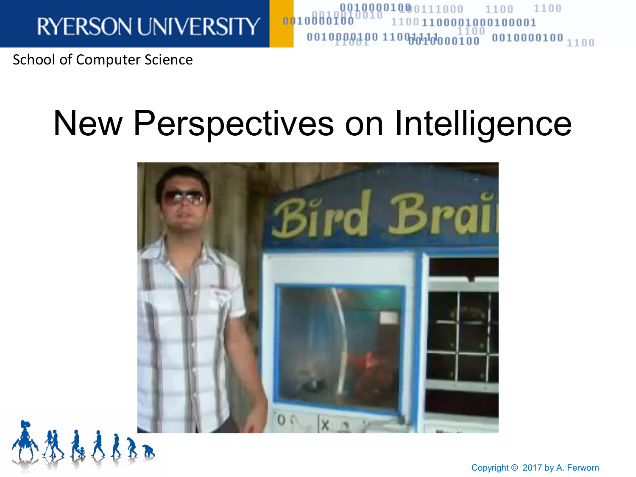School of Computer Science

# New Perspectives on Intelligence

oo1oöööïö

00100001000111000



Copyright © 2017 by A. Ferworn

1100

1100

 $0.0011000010001000001$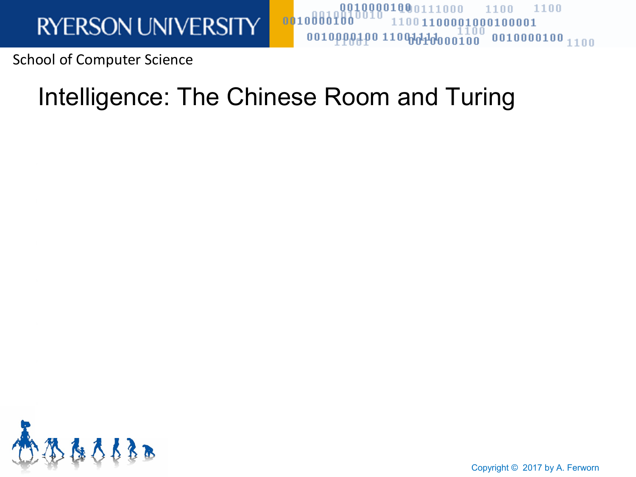School of Computer Science

### Intelligence: The Chinese Room and Turing

 $0010000100$ 

00100001000111000

1100

100001000100001

1100



Copyright © 2017 by A. Ferworn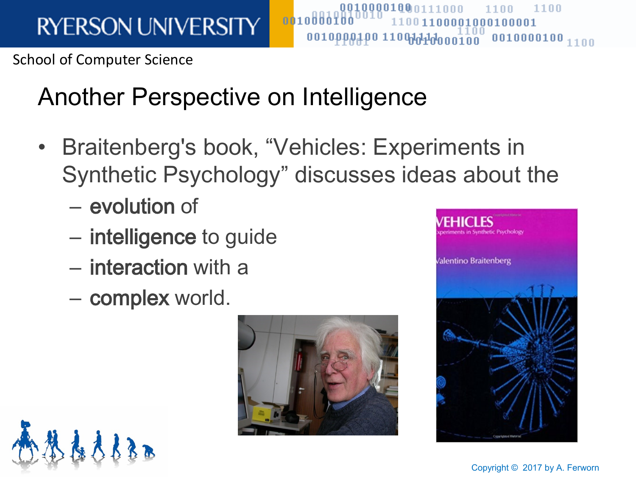School of Computer Science

## Another Perspective on Intelligence

• Braitenberg's book, "Vehicles: Experiments in Synthetic Psychology" discusses ideas about the

0010 Ö Ö

0010000100n111nnn

0010000100 110000000000000

- evolution of
- intelligence to guide
- interaction with a
- complex world.





1100

 $0010000100_{1100}$ 

1100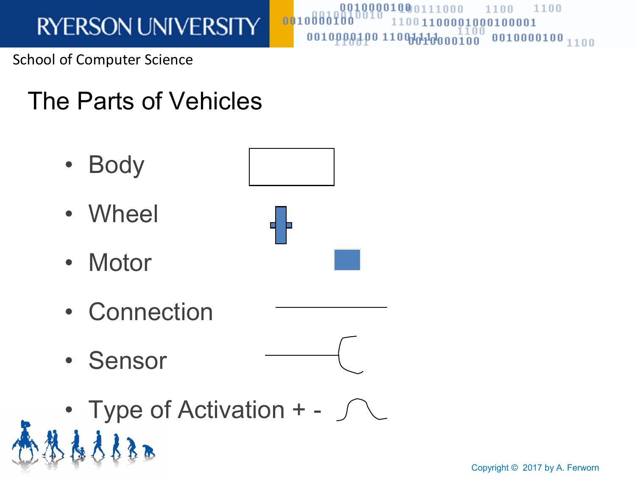School of Computer Science

### The Parts of Vehicles

- Body
- Wheel
- Motor
- Connection
- Sensor
- Type of Activation  $+$   $\sqrt{ }$



0010000

0010000180n111nnn

0010000100 11000000000000

1100

 $0010000100_{1100}$ 

1100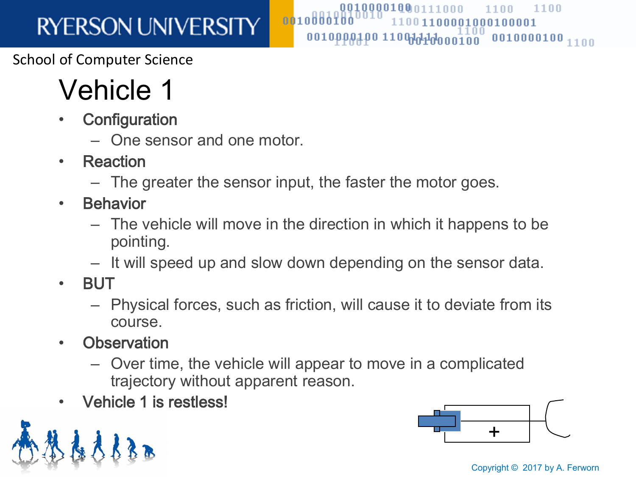School of Computer Science

# Vehicle 1

- **Configuration** 
	- One sensor and one motor.
- Reaction
	- The greater the sensor input, the faster the motor goes.

0010000

- Behavior
	- The vehicle will move in the direction in which it happens to be pointing.

0010000100n111

- It will speed up and slow down depending on the sensor data.
- BUT
	- Physical forces, such as friction, will cause it to deviate from its course.
- Observation
	- Over time, the vehicle will appear to move in a complicated trajectory without apparent reason.
- Vehicle 1 is restless!



Copyright © 2017 by A. Ferworn

1100

001000100001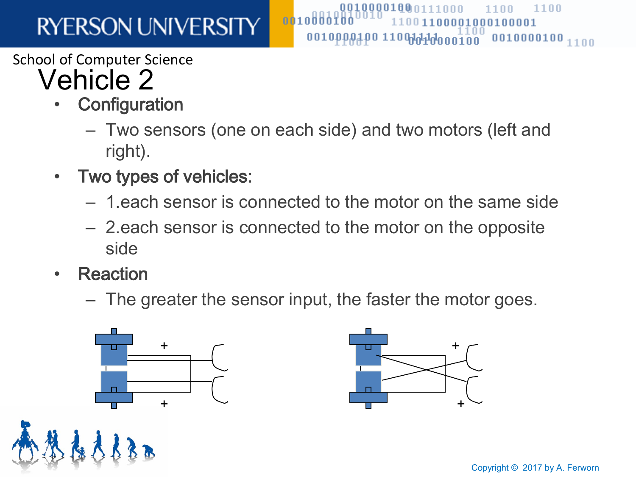#### School of Computer Science

### Vehicle 2

- **Configuration** 
	- Two sensors (one on each side) and two motors (left and right).

 $0010$ 

- Two types of vehicles:
	- 1.each sensor is connected to the motor on the same side
	- 2.each sensor is connected to the motor on the opposite side
- Reaction
	- The greater the sensor input, the faster the motor goes.





0010000100 110000000000000

 $1100$ 

1100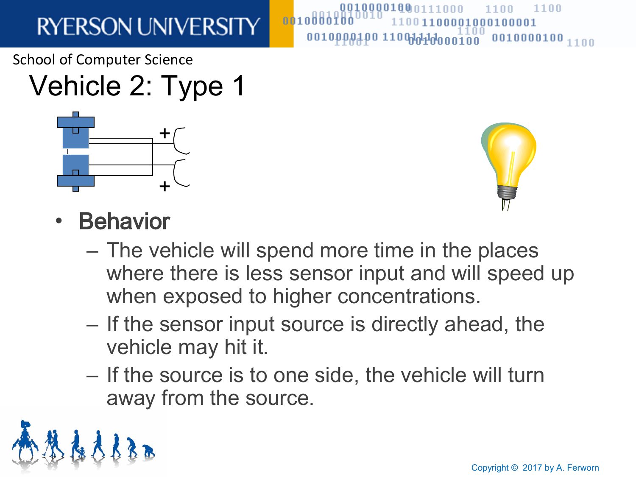School of Computer Science

# Vehicle 2: Type 1





001000100001

0010pppaa0 1100ddddooo100 0010000100 1100

1100

- **Behavior** 
	- The vehicle will spend more time in the places where there is less sensor input and will speed up when exposed to higher concentrations.
	- If the sensor input source is directly ahead, the vehicle may hit it.

0010 Ö Ö

– If the source is to one side, the vehicle will turn away from the source.

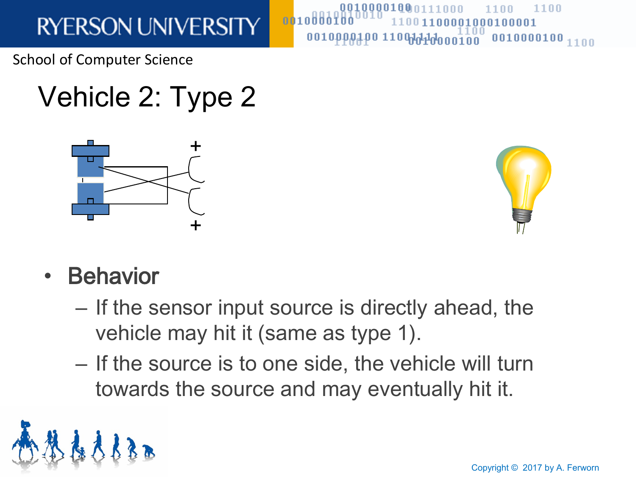School of Computer Science

# Vehicle 2: Type 2





 $1100$ 

 $0010000100_{1100}$ 

001000100001

оо1оррадро 11000000000000000

- Behavior
	- If the sensor input source is directly ahead, the vehicle may hit it (same as type 1).

 $0010$ 

– If the source is to one side, the vehicle will turn towards the source and may eventually hit it.

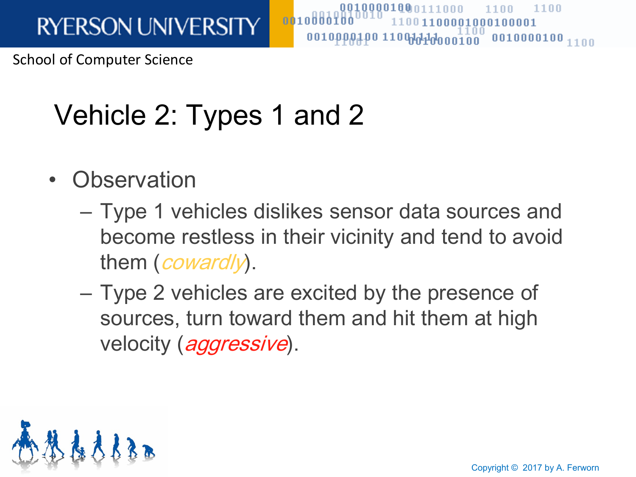School of Computer Science

# Vehicle 2: Types 1 and 2

- **Observation** 
	- Type 1 vehicles dislikes sensor data sources and become restless in their vicinity and tend to avoid them  $($ *cowardly* $).$

001000

– Type 2 vehicles are excited by the presence of sources, turn toward them and hit them at high velocity (*aggressive*).



1100

0001000100001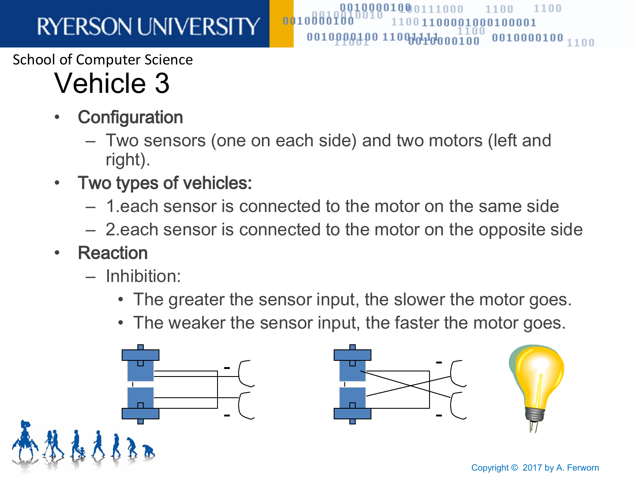#### School of Computer Science

# Vehicle 3

- **Configuration** 
	- Two sensors (one on each side) and two motors (left and right).

 $0010000010011000000000100$ 

 $0010$ 

- Two types of vehicles:
	- 1.each sensor is connected to the motor on the same side
	- 2.each sensor is connected to the motor on the opposite side
- Reaction
	- Inhibition:
		- The greater the sensor input, the slower the motor goes.
		- The weaker the sensor input, the faster the motor goes.



 $1100$ 

1100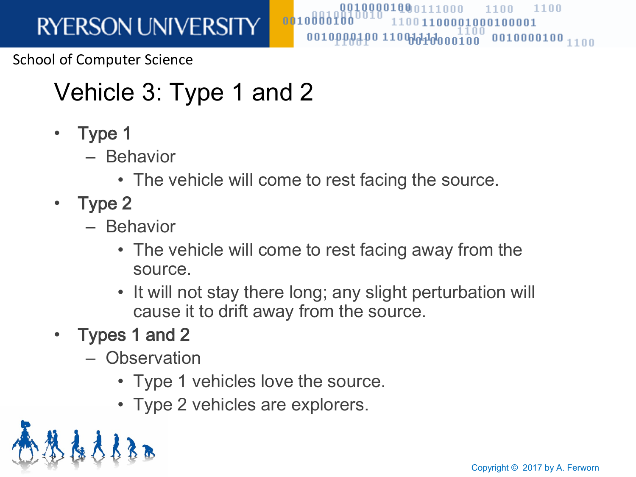School of Computer Science

## Vehicle 3: Type 1 and 2

- Type 1
	- Behavior
		- The vehicle will come to rest facing the source.

0010000

0010000100<sub>0111</sub>

nnn

1100

0001000100001

- Type 2
	- Behavior
		- The vehicle will come to rest facing away from the source.
		- It will not stay there long; any slight perturbation will cause it to drift away from the source.
- Types 1 and 2
	- Observation
		- Type 1 vehicles love the source.
		- Type 2 vehicles are explorers.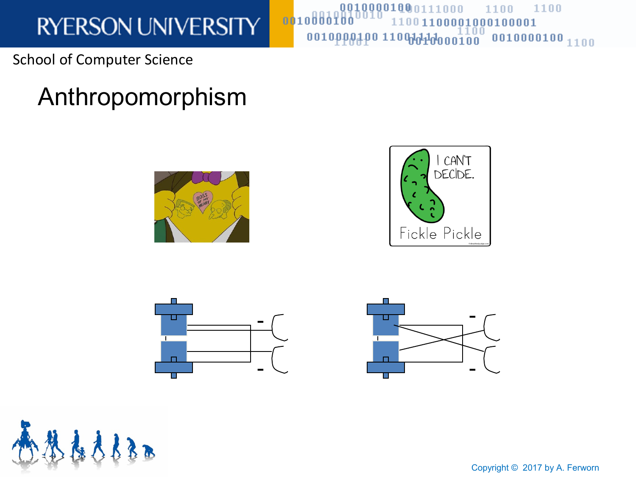School of Computer Science

### Anthropomorphism





00100001000111000

0010000400 110000000000000

oo1oddofdo







Copyright © 2017 by A. Ferworn

1100

 $0010000100_{1100}$ 

1100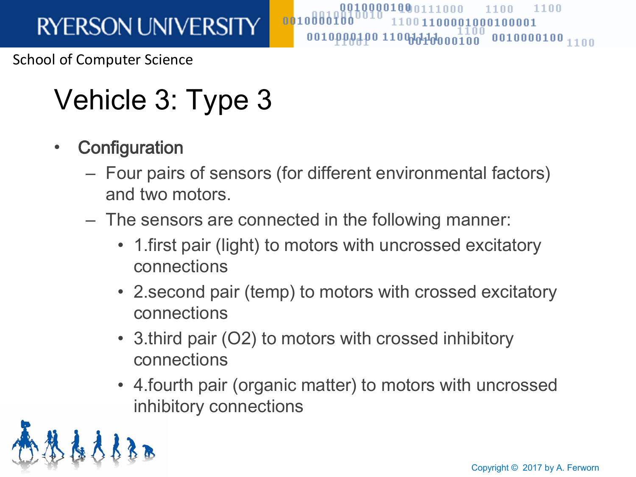School of Computer Science

# Vehicle 3: Type 3

- Configuration
	- Four pairs of sensors (for different environmental factors) and two motors.

0010000

0010000100n111

- The sensors are connected in the following manner:
	- 1.first pair (light) to motors with uncrossed excitatory connections
	- 2.second pair (temp) to motors with crossed excitatory connections
	- 3.third pair (O2) to motors with crossed inhibitory connections
	- 4.fourth pair (organic matter) to motors with uncrossed inhibitory connections

1100

0001000100001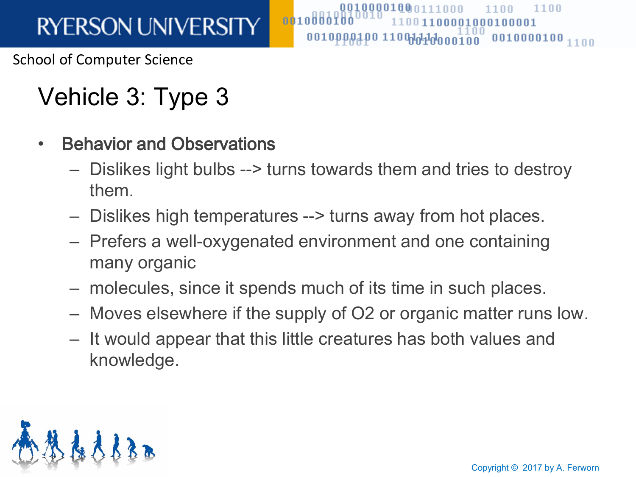School of Computer Science

## Vehicle 3: Type 3

- Behavior and Observations
	- Dislikes light bulbs --> turns towards them and tries to destroy them.

UUIUUUUIUMA

– Dislikes high temperatures --> turns away from hot places.

0010000

- Prefers a well-oxygenated environment and one containing many organic
- molecules, since it spends much of its time in such places.
- Moves elsewhere if the supply of O2 or organic matter runs low.
- It would appear that this little creatures has both values and knowledge.



1100

001000100001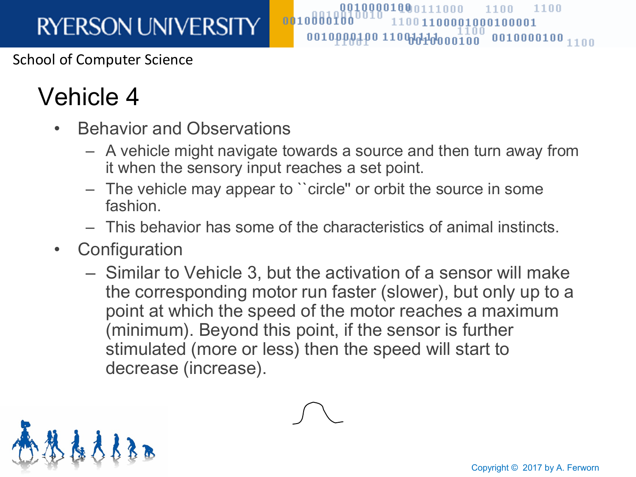#### School of Computer Science

### Vehicle 4

- Behavior and Observations
	- A vehicle might navigate towards a source and then turn away from it when the sensory input reaches a set point.

0010000100n111nnn

1100

00001000100001

0010pppaa0 1100ddddood100 0010000100 1100

1100

– The vehicle may appear to ``circle'' or orbit the source in some fashion.

- This behavior has some of the characteristics of animal instincts.
- Configuration
	- Similar to Vehicle 3, but the activation of a sensor will make the corresponding motor run faster (slower), but only up to a point at which the speed of the motor reaches a maximum (minimum). Beyond this point, if the sensor is further stimulated (more or less) then the speed will start to decrease (increase).

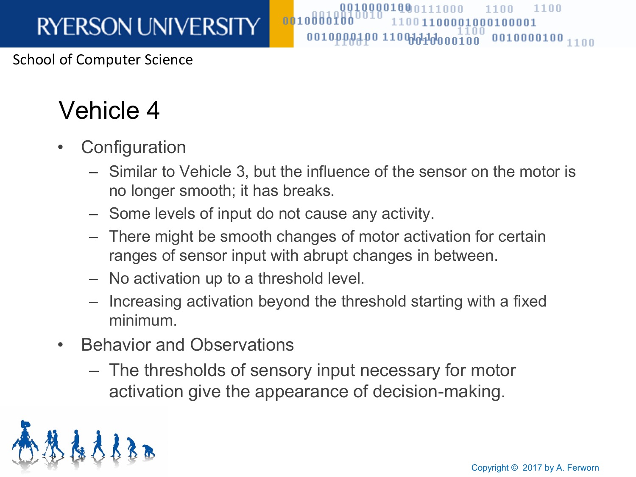#### School of Computer Science

### Vehicle 4

- **Configuration** 
	- Similar to Vehicle 3, but the influence of the sensor on the motor is no longer smooth; it has breaks.

0010000100<sub>0111</sub>

1100

0001000100001

1100

- Some levels of input do not cause any activity.
- There might be smooth changes of motor activation for certain ranges of sensor input with abrupt changes in between.

- No activation up to a threshold level.
- Increasing activation beyond the threshold starting with a fixed minimum.
- Behavior and Observations
	- The thresholds of sensory input necessary for motor activation give the appearance of decision-making.

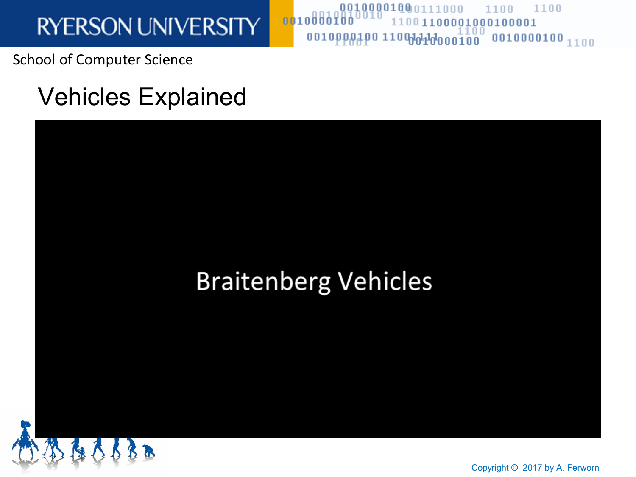School of Computer Science

### Vehicles Explained

### **Braitenberg Vehicles**

oo1oöööïöö

00100001000111000



Copyright © 2017 by A. Ferworn

1100

1100

11001100001000100001